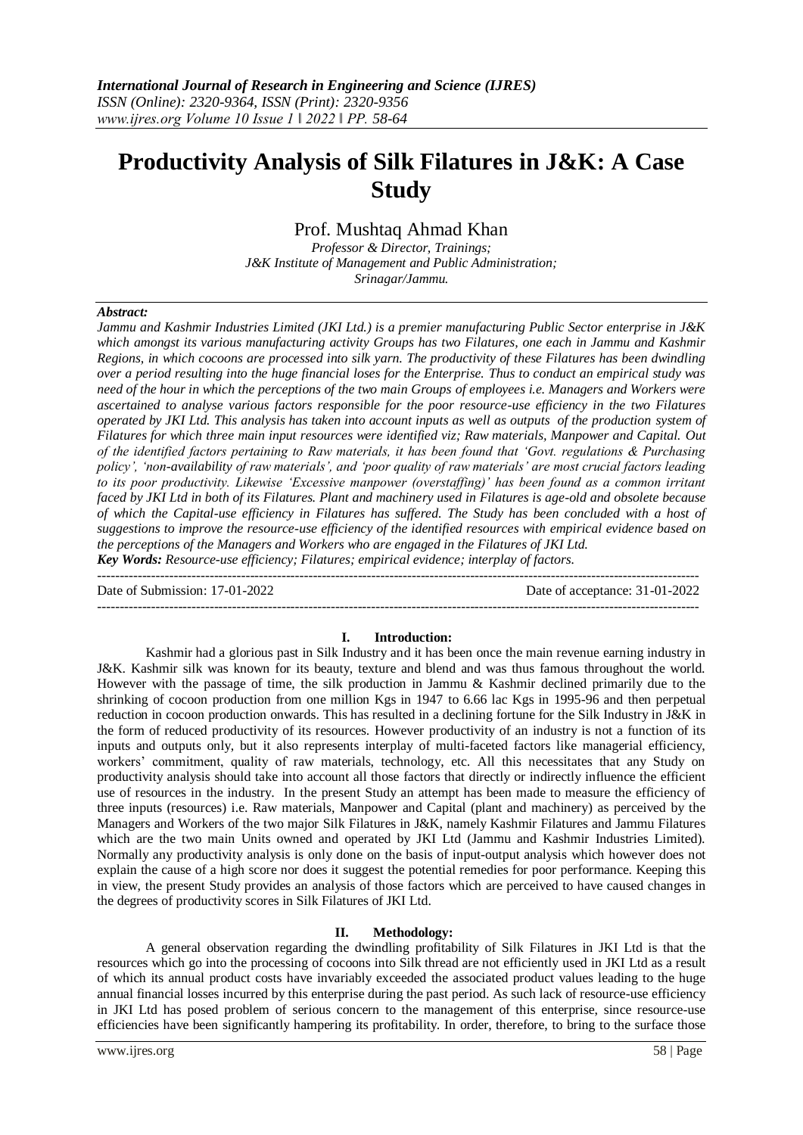# **Productivity Analysis of Silk Filatures in J&K: A Case Study**

Prof. Mushtaq Ahmad Khan

*Professor & Director, Trainings; J&K Institute of Management and Public Administration; Srinagar/Jammu.*

#### *Abstract:*

*Jammu and Kashmir Industries Limited (JKI Ltd.) is a premier manufacturing Public Sector enterprise in J&K which amongst its various manufacturing activity Groups has two Filatures, one each in Jammu and Kashmir Regions, in which cocoons are processed into silk yarn. The productivity of these Filatures has been dwindling over a period resulting into the huge financial loses for the Enterprise. Thus to conduct an empirical study was need of the hour in which the perceptions of the two main Groups of employees i.e. Managers and Workers were ascertained to analyse various factors responsible for the poor resource-use efficiency in the two Filatures operated by JKI Ltd. This analysis has taken into account inputs as well as outputs of the production system of Filatures for which three main input resources were identified viz; Raw materials, Manpower and Capital. Out of the identified factors pertaining to Raw materials, it has been found that 'Govt. regulations & Purchasing policy', 'non-availability of raw materials', and 'poor quality of raw materials' are most crucial factors leading to its poor productivity. Likewise 'Excessive manpower (overstaffing)' has been found as a common irritant faced by JKI Ltd in both of its Filatures. Plant and machinery used in Filatures is age-old and obsolete because of which the Capital-use efficiency in Filatures has suffered. The Study has been concluded with a host of suggestions to improve the resource-use efficiency of the identified resources with empirical evidence based on the perceptions of the Managers and Workers who are engaged in the Filatures of JKI Ltd. Key Words: Resource-use efficiency; Filatures; empirical evidence; interplay of factors.*

-------------------------------------------------------------------------------------------------------------------------------------- Date of Submission: 17-01-2022 Date of acceptance: 31-01-2022

#### **I. Introduction:**

--------------------------------------------------------------------------------------------------------------------------------------

Kashmir had a glorious past in Silk Industry and it has been once the main revenue earning industry in J&K. Kashmir silk was known for its beauty, texture and blend and was thus famous throughout the world. However with the passage of time, the silk production in Jammu & Kashmir declined primarily due to the shrinking of cocoon production from one million Kgs in 1947 to 6.66 lac Kgs in 1995-96 and then perpetual reduction in cocoon production onwards. This has resulted in a declining fortune for the Silk Industry in J&K in the form of reduced productivity of its resources. However productivity of an industry is not a function of its inputs and outputs only, but it also represents interplay of multi-faceted factors like managerial efficiency, workers' commitment, quality of raw materials, technology, etc. All this necessitates that any Study on productivity analysis should take into account all those factors that directly or indirectly influence the efficient use of resources in the industry. In the present Study an attempt has been made to measure the efficiency of three inputs (resources) i.e. Raw materials, Manpower and Capital (plant and machinery) as perceived by the Managers and Workers of the two major Silk Filatures in J&K, namely Kashmir Filatures and Jammu Filatures which are the two main Units owned and operated by JKI Ltd (Jammu and Kashmir Industries Limited). Normally any productivity analysis is only done on the basis of input-output analysis which however does not explain the cause of a high score nor does it suggest the potential remedies for poor performance. Keeping this in view, the present Study provides an analysis of those factors which are perceived to have caused changes in the degrees of productivity scores in Silk Filatures of JKI Ltd.

### **II. Methodology:**

A general observation regarding the dwindling profitability of Silk Filatures in JKI Ltd is that the resources which go into the processing of cocoons into Silk thread are not efficiently used in JKI Ltd as a result of which its annual product costs have invariably exceeded the associated product values leading to the huge annual financial losses incurred by this enterprise during the past period. As such lack of resource-use efficiency in JKI Ltd has posed problem of serious concern to the management of this enterprise, since resource-use efficiencies have been significantly hampering its profitability. In order, therefore, to bring to the surface those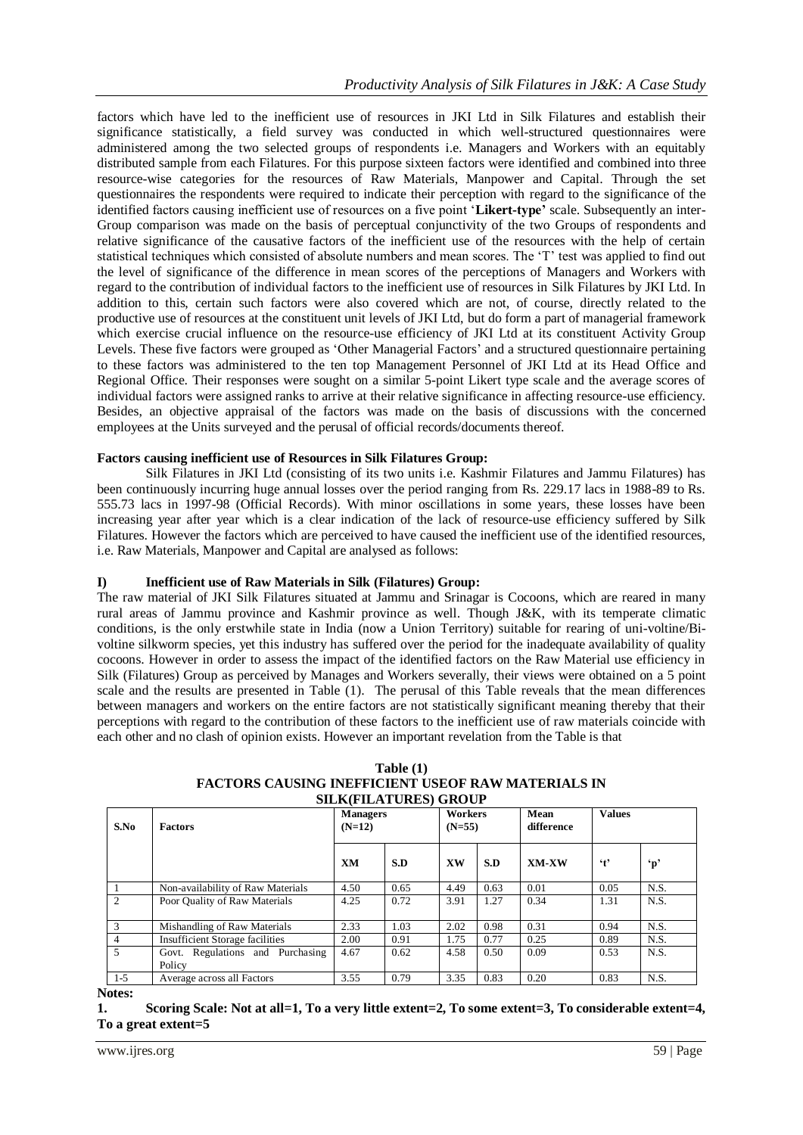factors which have led to the inefficient use of resources in JKI Ltd in Silk Filatures and establish their significance statistically, a field survey was conducted in which well-structured questionnaires were administered among the two selected groups of respondents i.e. Managers and Workers with an equitably distributed sample from each Filatures. For this purpose sixteen factors were identified and combined into three resource-wise categories for the resources of Raw Materials, Manpower and Capital. Through the set questionnaires the respondents were required to indicate their perception with regard to the significance of the identified factors causing inefficient use of resources on a five point '**Likert-type'** scale. Subsequently an inter-Group comparison was made on the basis of perceptual conjunctivity of the two Groups of respondents and relative significance of the causative factors of the inefficient use of the resources with the help of certain statistical techniques which consisted of absolute numbers and mean scores. The 'T' test was applied to find out the level of significance of the difference in mean scores of the perceptions of Managers and Workers with regard to the contribution of individual factors to the inefficient use of resources in Silk Filatures by JKI Ltd. In addition to this, certain such factors were also covered which are not, of course, directly related to the productive use of resources at the constituent unit levels of JKI Ltd, but do form a part of managerial framework which exercise crucial influence on the resource-use efficiency of JKI Ltd at its constituent Activity Group Levels. These five factors were grouped as 'Other Managerial Factors' and a structured questionnaire pertaining to these factors was administered to the ten top Management Personnel of JKI Ltd at its Head Office and Regional Office. Their responses were sought on a similar 5-point Likert type scale and the average scores of individual factors were assigned ranks to arrive at their relative significance in affecting resource-use efficiency. Besides, an objective appraisal of the factors was made on the basis of discussions with the concerned employees at the Units surveyed and the perusal of official records/documents thereof.

## **Factors causing inefficient use of Resources in Silk Filatures Group:**

Silk Filatures in JKI Ltd (consisting of its two units i.e. Kashmir Filatures and Jammu Filatures) has been continuously incurring huge annual losses over the period ranging from Rs. 229.17 lacs in 1988-89 to Rs. 555.73 lacs in 1997-98 (Official Records). With minor oscillations in some years, these losses have been increasing year after year which is a clear indication of the lack of resource-use efficiency suffered by Silk Filatures. However the factors which are perceived to have caused the inefficient use of the identified resources, i.e. Raw Materials, Manpower and Capital are analysed as follows:

## **I) Inefficient use of Raw Materials in Silk (Filatures) Group:**

The raw material of JKI Silk Filatures situated at Jammu and Srinagar is Cocoons, which are reared in many rural areas of Jammu province and Kashmir province as well. Though J&K, with its temperate climatic conditions, is the only erstwhile state in India (now a Union Territory) suitable for rearing of uni-voltine/Bivoltine silkworm species, yet this industry has suffered over the period for the inadequate availability of quality cocoons. However in order to assess the impact of the identified factors on the Raw Material use efficiency in Silk (Filatures) Group as perceived by Manages and Workers severally, their views were obtained on a 5 point scale and the results are presented in Table (1). The perusal of this Table reveals that the mean differences between managers and workers on the entire factors are not statistically significant meaning thereby that their perceptions with regard to the contribution of these factors to the inefficient use of raw materials coincide with each other and no clash of opinion exists. However an important revelation from the Table is that

| S.No           | <b>Factors</b>                             | <b>Managers</b><br>$(N=12)$ |      | Workers<br>$(N=55)$ |      | <b>Values</b><br>Mean<br>difference |                      |              |
|----------------|--------------------------------------------|-----------------------------|------|---------------------|------|-------------------------------------|----------------------|--------------|
|                |                                            | <b>XM</b>                   | S.D  | XW                  | S.D  | XM-XW                               | $\cdot$ <sub>t</sub> | $\mathbf{p}$ |
|                | Non-availability of Raw Materials          | 4.50                        | 0.65 | 4.49                | 0.63 | 0.01                                | 0.05                 | N.S.         |
| $\mathfrak{D}$ | Poor Quality of Raw Materials              | 4.25                        | 0.72 | 3.91                | 1.27 | 0.34                                | 1.31                 | N.S.         |
|                | Mishandling of Raw Materials               | 2.33                        | 1.03 | 2.02                | 0.98 | 0.31                                | 0.94                 | N.S.         |
| 4              | <b>Insufficient Storage facilities</b>     | 2.00                        | 0.91 | 1.75                | 0.77 | 0.25                                | 0.89                 | N.S.         |
| $\mathfrak{F}$ | Govt. Regulations and Purchasing<br>Policy | 4.67                        | 0.62 | 4.58                | 0.50 | 0.09                                | 0.53                 | N.S.         |
| $1 - 5$        | Average across all Factors                 | 3.55                        | 0.79 | 3.35                | 0.83 | 0.20                                | 0.83                 | N.S.         |

**Table (1) FACTORS CAUSING INEFFICIENT USEOF RAW MATERIALS IN SILK(FILATURES) GROUP**

**Notes:**

**<sup>1.</sup> Scoring Scale: Not at all=1, To a very little extent=2, To some extent=3, To considerable extent=4, To a great extent=5**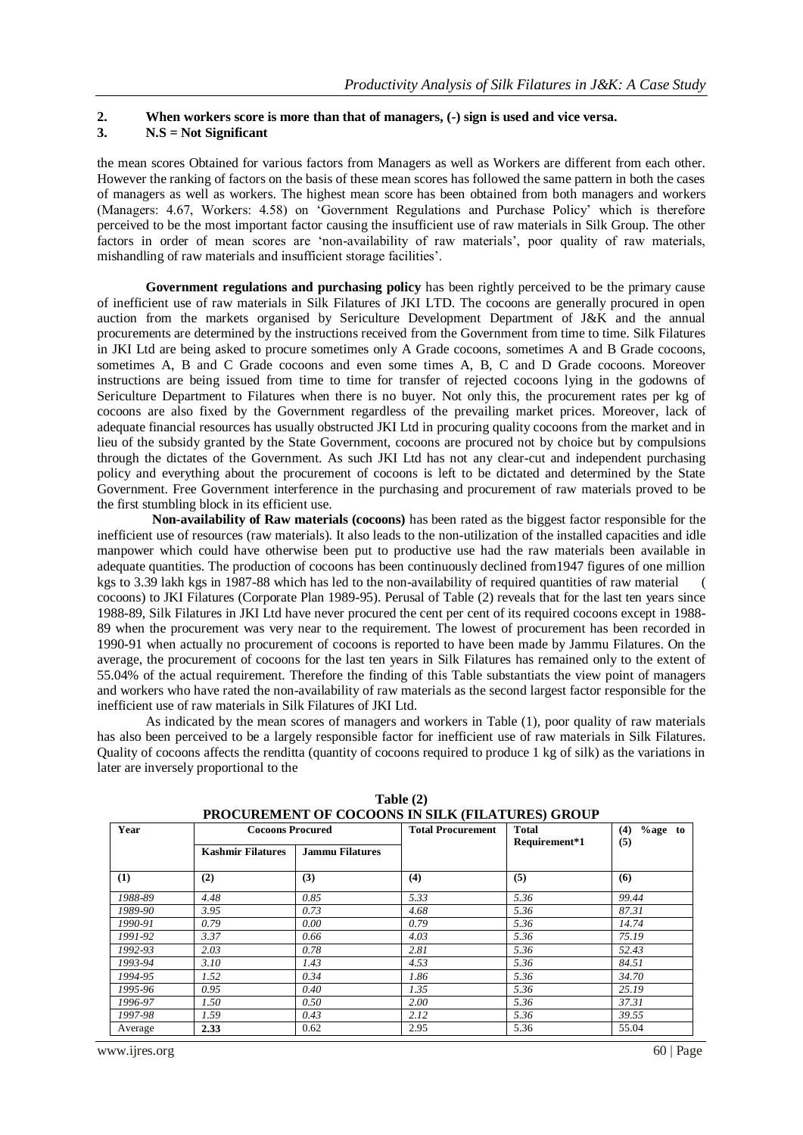## **2. When workers score is more than that of managers, (-) sign is used and vice versa.**

## **3. N.S = Not Significant**

the mean scores Obtained for various factors from Managers as well as Workers are different from each other. However the ranking of factors on the basis of these mean scores has followed the same pattern in both the cases of managers as well as workers. The highest mean score has been obtained from both managers and workers (Managers: 4.67, Workers: 4.58) on 'Government Regulations and Purchase Policy' which is therefore perceived to be the most important factor causing the insufficient use of raw materials in Silk Group. The other factors in order of mean scores are 'non-availability of raw materials', poor quality of raw materials, mishandling of raw materials and insufficient storage facilities'.

**Government regulations and purchasing policy** has been rightly perceived to be the primary cause of inefficient use of raw materials in Silk Filatures of JKI LTD. The cocoons are generally procured in open auction from the markets organised by Sericulture Development Department of J&K and the annual procurements are determined by the instructions received from the Government from time to time. Silk Filatures in JKI Ltd are being asked to procure sometimes only A Grade cocoons, sometimes A and B Grade cocoons, sometimes A, B and C Grade cocoons and even some times A, B, C and D Grade cocoons. Moreover instructions are being issued from time to time for transfer of rejected cocoons lying in the godowns of Sericulture Department to Filatures when there is no buyer. Not only this, the procurement rates per kg of cocoons are also fixed by the Government regardless of the prevailing market prices. Moreover, lack of adequate financial resources has usually obstructed JKI Ltd in procuring quality cocoons from the market and in lieu of the subsidy granted by the State Government, cocoons are procured not by choice but by compulsions through the dictates of the Government. As such JKI Ltd has not any clear-cut and independent purchasing policy and everything about the procurement of cocoons is left to be dictated and determined by the State Government. Free Government interference in the purchasing and procurement of raw materials proved to be the first stumbling block in its efficient use.

 **Non-availability of Raw materials (cocoons)** has been rated as the biggest factor responsible for the inefficient use of resources (raw materials). It also leads to the non-utilization of the installed capacities and idle manpower which could have otherwise been put to productive use had the raw materials been available in adequate quantities. The production of cocoons has been continuously declined from1947 figures of one million kgs to 3.39 lakh kgs in 1987-88 which has led to the non-availability of required quantities of raw material cocoons) to JKI Filatures (Corporate Plan 1989-95). Perusal of Table (2) reveals that for the last ten years since 1988-89, Silk Filatures in JKI Ltd have never procured the cent per cent of its required cocoons except in 1988- 89 when the procurement was very near to the requirement. The lowest of procurement has been recorded in 1990-91 when actually no procurement of cocoons is reported to have been made by Jammu Filatures. On the average, the procurement of cocoons for the last ten years in Silk Filatures has remained only to the extent of 55.04% of the actual requirement. Therefore the finding of this Table substantiats the view point of managers and workers who have rated the non-availability of raw materials as the second largest factor responsible for the inefficient use of raw materials in Silk Filatures of JKI Ltd.

As indicated by the mean scores of managers and workers in Table (1), poor quality of raw materials has also been perceived to be a largely responsible factor for inefficient use of raw materials in Silk Filatures. Quality of cocoons affects the renditta (quantity of cocoons required to produce 1 kg of silk) as the variations in later are inversely proportional to the

| Year    | <b>Cocoons Procured</b>  |                        | <b>Total Procurement</b> | <b>Total</b><br>Requirement*1 | $\%$ age to<br>(4)<br>(5) |  |
|---------|--------------------------|------------------------|--------------------------|-------------------------------|---------------------------|--|
|         | <b>Kashmir Filatures</b> | <b>Jammu Filatures</b> |                          |                               |                           |  |
| (1)     | (2)                      | (3)                    | (4)                      | (5)                           | (6)                       |  |
| 1988-89 | 4.48                     | 0.85                   | 5.33                     | 5.36                          | 99.44                     |  |
| 1989-90 | 3.95                     | 0.73                   | 4.68                     | 5.36                          | 87.31                     |  |
| 1990-91 | 0.79                     | 0.00                   | 0.79                     | 5.36                          | 14.74                     |  |
| 1991-92 | 3.37                     | 0.66                   | 4.03                     | 5.36                          | 75.19                     |  |
| 1992-93 | 2.03                     | 0.78                   | 2.81                     | 5.36                          | 52.43                     |  |
| 1993-94 | 3.10                     | 1.43                   | 4.53                     | 5.36                          | 84.51                     |  |
| 1994-95 | 1.52                     | 0.34                   | 1.86                     | 5.36                          | 34.70                     |  |
| 1995-96 | 0.95                     | 0.40                   | 1.35                     | 5.36                          | 25.19                     |  |
| 1996-97 | 1.50                     | 0.50                   | 2.00                     | 5.36                          | 37.31                     |  |
| 1997-98 | 1.59                     | 0.43                   | 2.12                     | 5.36                          | 39.55                     |  |
| Average | 2.33                     | 0.62                   | 2.95                     | 5.36                          | 55.04                     |  |

**Table (2) PROCUREMENT OF COCOONS IN SILK (FILATURES) GROUP**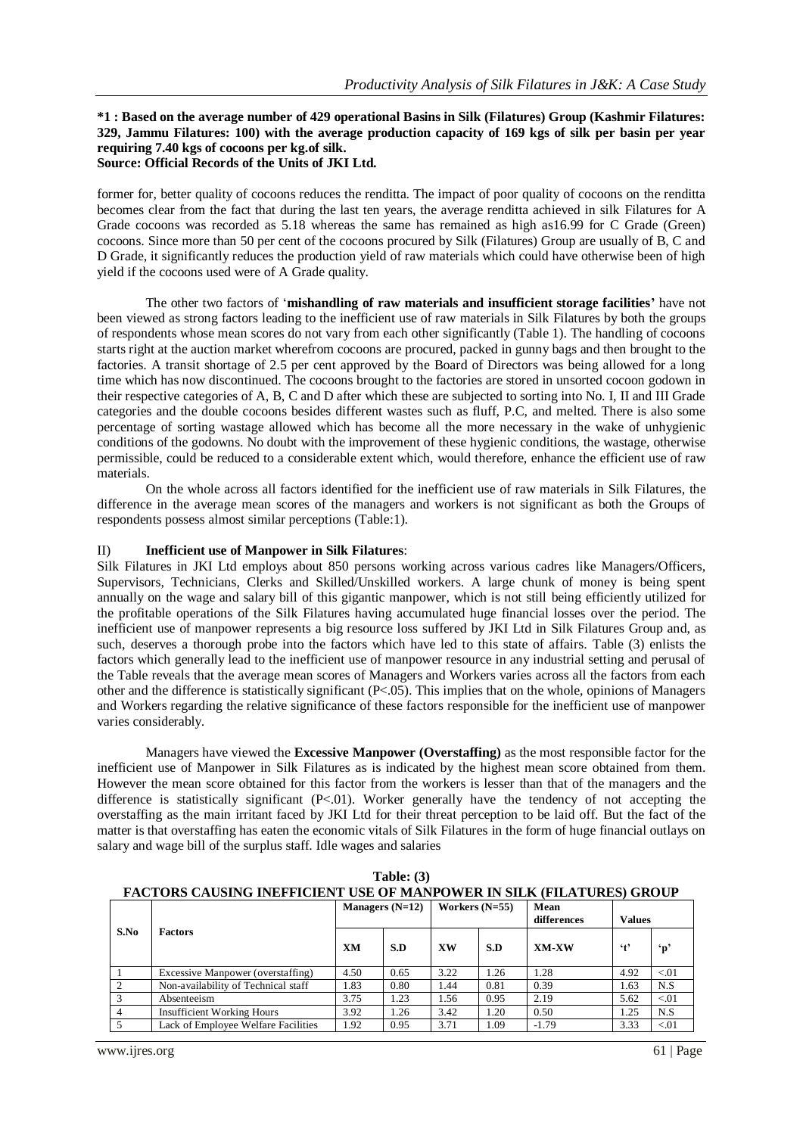#### **\*1 : Based on the average number of 429 operational Basins in Silk (Filatures) Group (Kashmir Filatures: 329, Jammu Filatures: 100) with the average production capacity of 169 kgs of silk per basin per year requiring 7.40 kgs of cocoons per kg.of silk. Source: Official Records of the Units of JKI Ltd.**

former for, better quality of cocoons reduces the renditta. The impact of poor quality of cocoons on the renditta becomes clear from the fact that during the last ten years, the average renditta achieved in silk Filatures for A Grade cocoons was recorded as 5.18 whereas the same has remained as high as16.99 for C Grade (Green) cocoons. Since more than 50 per cent of the cocoons procured by Silk (Filatures) Group are usually of B, C and D Grade, it significantly reduces the production yield of raw materials which could have otherwise been of high yield if the cocoons used were of A Grade quality.

The other two factors of '**mishandling of raw materials and insufficient storage facilities'** have not been viewed as strong factors leading to the inefficient use of raw materials in Silk Filatures by both the groups of respondents whose mean scores do not vary from each other significantly (Table 1). The handling of cocoons starts right at the auction market wherefrom cocoons are procured, packed in gunny bags and then brought to the factories. A transit shortage of 2.5 per cent approved by the Board of Directors was being allowed for a long time which has now discontinued. The cocoons brought to the factories are stored in unsorted cocoon godown in their respective categories of A, B, C and D after which these are subjected to sorting into No. I, II and III Grade categories and the double cocoons besides different wastes such as fluff, P.C, and melted. There is also some percentage of sorting wastage allowed which has become all the more necessary in the wake of unhygienic conditions of the godowns. No doubt with the improvement of these hygienic conditions, the wastage, otherwise permissible, could be reduced to a considerable extent which, would therefore, enhance the efficient use of raw materials.

On the whole across all factors identified for the inefficient use of raw materials in Silk Filatures, the difference in the average mean scores of the managers and workers is not significant as both the Groups of respondents possess almost similar perceptions (Table:1).

## II) **Inefficient use of Manpower in Silk Filatures**:

Silk Filatures in JKI Ltd employs about 850 persons working across various cadres like Managers/Officers, Supervisors, Technicians, Clerks and Skilled/Unskilled workers. A large chunk of money is being spent annually on the wage and salary bill of this gigantic manpower, which is not still being efficiently utilized for the profitable operations of the Silk Filatures having accumulated huge financial losses over the period. The inefficient use of manpower represents a big resource loss suffered by JKI Ltd in Silk Filatures Group and, as such, deserves a thorough probe into the factors which have led to this state of affairs. Table (3) enlists the factors which generally lead to the inefficient use of manpower resource in any industrial setting and perusal of the Table reveals that the average mean scores of Managers and Workers varies across all the factors from each other and the difference is statistically significant (P<.05). This implies that on the whole, opinions of Managers and Workers regarding the relative significance of these factors responsible for the inefficient use of manpower varies considerably.

Managers have viewed the **Excessive Manpower (Overstaffing)** as the most responsible factor for the inefficient use of Manpower in Silk Filatures as is indicated by the highest mean score obtained from them. However the mean score obtained for this factor from the workers is lesser than that of the managers and the difference is statistically significant (P<.01). Worker generally have the tendency of not accepting the overstaffing as the main irritant faced by JKI Ltd for their threat perception to be laid off. But the fact of the matter is that overstaffing has eaten the economic vitals of Silk Filatures in the form of huge financial outlays on salary and wage bill of the surplus staff. Idle wages and salaries

| <b>FACTORS CAUSING INEFFICIENT USE OF MANPOWER IN SILK (FILATURES) GROUP</b> |                                     |                   |      |                  |      |                     |                     |              |  |  |
|------------------------------------------------------------------------------|-------------------------------------|-------------------|------|------------------|------|---------------------|---------------------|--------------|--|--|
| S.No                                                                         | <b>Factors</b>                      | Managers $(N=12)$ |      | Workers $(N=55)$ |      | Mean<br>differences | <b>Values</b>       |              |  |  |
|                                                                              |                                     | XM                | S.D  | XW               | S.D  | XM-XW               | $\ddot{\mathbf{r}}$ | $\mathbf{p}$ |  |  |
|                                                                              | Excessive Manpower (overstaffing)   | 4.50              | 0.65 | 3.22             | 1.26 | 1.28                | 4.92                | < 0.01       |  |  |
| $\mathcal{D}$                                                                | Non-availability of Technical staff | 1.83              | 0.80 | 1.44             | 0.81 | 0.39                | 1.63                | N.S          |  |  |
|                                                                              | Absenteeism                         | 3.75              | 1.23 | 1.56             | 0.95 | 2.19                | 5.62                | < 0.01       |  |  |
|                                                                              | <b>Insufficient Working Hours</b>   | 3.92              | 1.26 | 3.42             | 1.20 | 0.50                | 1.25                | N.S          |  |  |
| $\overline{5}$                                                               | Lack of Employee Welfare Facilities | 1.92              | 0.95 | 3.71             | 1.09 | $-1.79$             | 3.33                | < 0.01       |  |  |

**Table: (3)**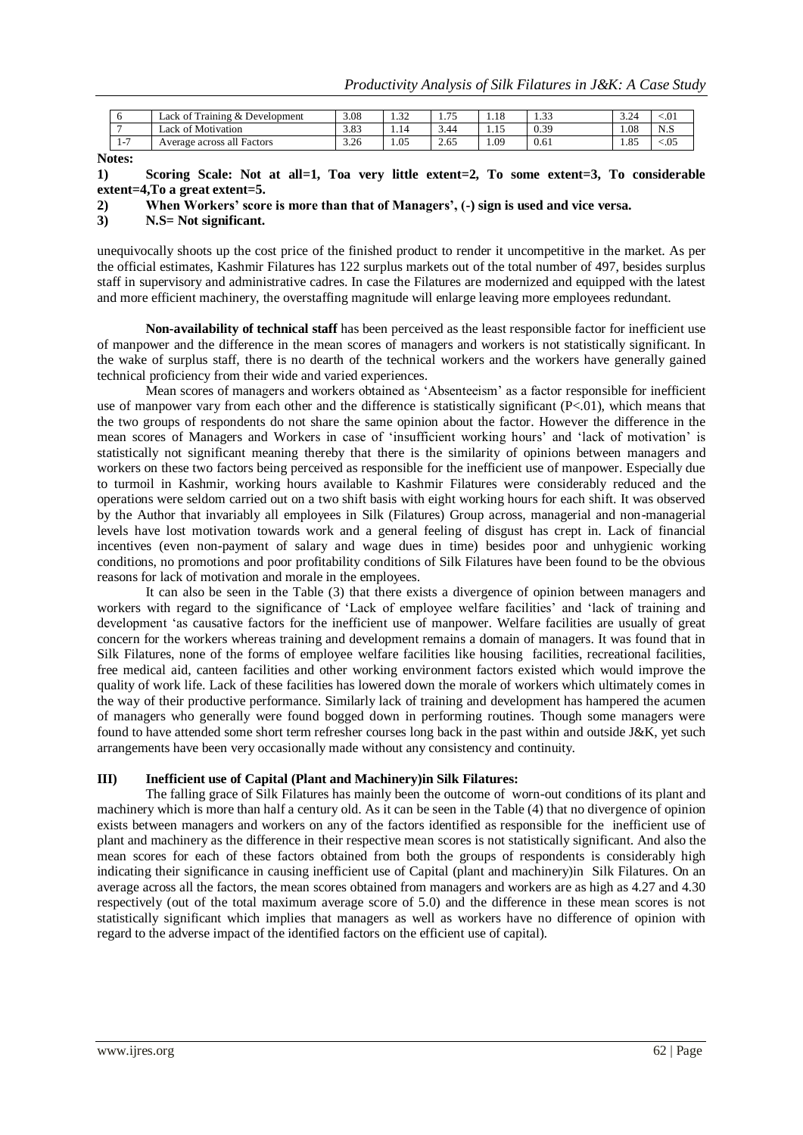|                         | $\sim$ m<br>Training & Development<br>Lack of | 3.08 | $\sim$<br>ے د. و | $-$<br>. | $\overline{1}$ $\overline{C}$<br>1.10 | $\sim$<br>ر ر. ۱ | 2.21<br>ے۔د | < 01           |
|-------------------------|-----------------------------------------------|------|------------------|----------|---------------------------------------|------------------|-------------|----------------|
|                         | 0.3.5<br>Lack of Motivation                   | 3.83 | 1.14             | 3.44     | 1.1J                                  | 0.39             | 1.08        | N<br>د… ۱      |
| 1 <sub>7</sub><br>$1 -$ | Average across all Factors                    | 3.26 | 1.05             | 2.65     | 1.09                                  | 0.61             | 1.85        | $\lesssim 0.5$ |

**Notes:**

**1) Scoring Scale: Not at all=1, Toa very little extent=2, To some extent=3, To considerable extent=4,To a great extent=5.**

**2) When Workers' score is more than that of Managers', (-) sign is used and vice versa.**

**3) N.S= Not significant.**

unequivocally shoots up the cost price of the finished product to render it uncompetitive in the market. As per the official estimates, Kashmir Filatures has 122 surplus markets out of the total number of 497, besides surplus staff in supervisory and administrative cadres. In case the Filatures are modernized and equipped with the latest and more efficient machinery, the overstaffing magnitude will enlarge leaving more employees redundant.

**Non-availability of technical staff** has been perceived as the least responsible factor for inefficient use of manpower and the difference in the mean scores of managers and workers is not statistically significant. In the wake of surplus staff, there is no dearth of the technical workers and the workers have generally gained technical proficiency from their wide and varied experiences.

Mean scores of managers and workers obtained as 'Absenteeism' as a factor responsible for inefficient use of manpower vary from each other and the difference is statistically significant  $(P<.01)$ , which means that the two groups of respondents do not share the same opinion about the factor. However the difference in the mean scores of Managers and Workers in case of 'insufficient working hours' and 'lack of motivation' is statistically not significant meaning thereby that there is the similarity of opinions between managers and workers on these two factors being perceived as responsible for the inefficient use of manpower. Especially due to turmoil in Kashmir, working hours available to Kashmir Filatures were considerably reduced and the operations were seldom carried out on a two shift basis with eight working hours for each shift. It was observed by the Author that invariably all employees in Silk (Filatures) Group across, managerial and non-managerial levels have lost motivation towards work and a general feeling of disgust has crept in. Lack of financial incentives (even non-payment of salary and wage dues in time) besides poor and unhygienic working conditions, no promotions and poor profitability conditions of Silk Filatures have been found to be the obvious reasons for lack of motivation and morale in the employees.

It can also be seen in the Table (3) that there exists a divergence of opinion between managers and workers with regard to the significance of 'Lack of employee welfare facilities' and 'lack of training and development 'as causative factors for the inefficient use of manpower. Welfare facilities are usually of great concern for the workers whereas training and development remains a domain of managers. It was found that in Silk Filatures, none of the forms of employee welfare facilities like housing facilities, recreational facilities, free medical aid, canteen facilities and other working environment factors existed which would improve the quality of work life. Lack of these facilities has lowered down the morale of workers which ultimately comes in the way of their productive performance. Similarly lack of training and development has hampered the acumen of managers who generally were found bogged down in performing routines. Though some managers were found to have attended some short term refresher courses long back in the past within and outside J&K, yet such arrangements have been very occasionally made without any consistency and continuity.

#### **III) Inefficient use of Capital (Plant and Machinery)in Silk Filatures:**

The falling grace of Silk Filatures has mainly been the outcome of worn-out conditions of its plant and machinery which is more than half a century old. As it can be seen in the Table (4) that no divergence of opinion exists between managers and workers on any of the factors identified as responsible for the inefficient use of plant and machinery as the difference in their respective mean scores is not statistically significant. And also the mean scores for each of these factors obtained from both the groups of respondents is considerably high indicating their significance in causing inefficient use of Capital (plant and machinery)in Silk Filatures. On an average across all the factors, the mean scores obtained from managers and workers are as high as 4.27 and 4.30 respectively (out of the total maximum average score of 5.0) and the difference in these mean scores is not statistically significant which implies that managers as well as workers have no difference of opinion with regard to the adverse impact of the identified factors on the efficient use of capital).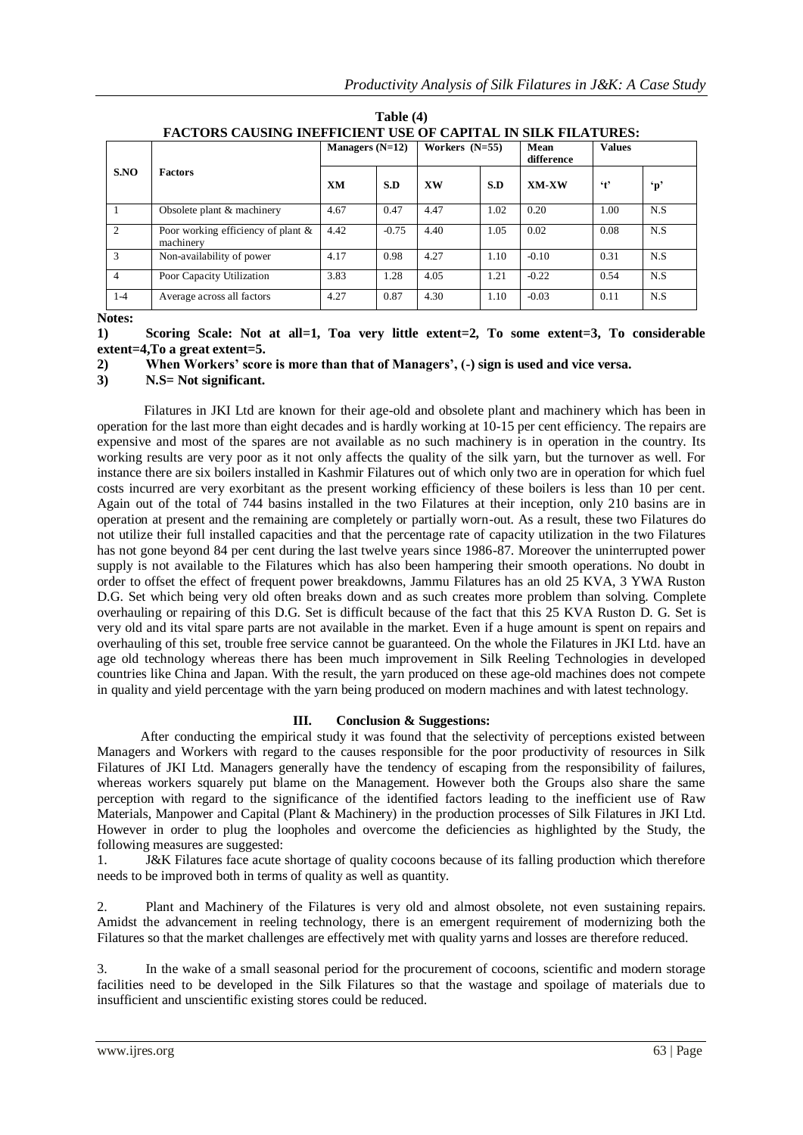| S.NO           | <b>Factors</b>                                  | Managers $(N=12)$ |         | Workers $(N=55)$ |      | Mean<br>difference | <b>Values</b>        |              |
|----------------|-------------------------------------------------|-------------------|---------|------------------|------|--------------------|----------------------|--------------|
|                |                                                 | <b>XM</b>         | S.D     | <b>XW</b>        | S.D  | XM-XW              | $\cdot$ <sub>t</sub> | $\mathbf{p}$ |
|                | Obsolete plant & machinery                      | 4.67              | 0.47    | 4.47             | 1.02 | 0.20               | 1.00                 | N.S          |
| $\mathfrak{D}$ | Poor working efficiency of plant &<br>machinery | 4.42              | $-0.75$ | 4.40             | 1.05 | 0.02               | 0.08                 | N.S          |
| 3              | Non-availability of power                       | 4.17              | 0.98    | 4.27             | 1.10 | $-0.10$            | 0.31                 | N.S          |
| $\overline{4}$ | Poor Capacity Utilization                       | 3.83              | 1.28    | 4.05             | 1.21 | $-0.22$            | 0.54                 | N.S          |
| $1-4$          | Average across all factors                      | 4.27              | 0.87    | 4.30             | 1.10 | $-0.03$            | 0.11                 | N.S          |

**Table (4) FACTORS CAUSING INEFFICIENT USE OF CAPITAL IN SILK FILATURES:**

**Notes:**

**1) Scoring Scale: Not at all=1, Toa very little extent=2, To some extent=3, To considerable extent=4,To a great extent=5.**

**2) When Workers' score is more than that of Managers', (-) sign is used and vice versa.**

**3) N.S= Not significant.**

 Filatures in JKI Ltd are known for their age-old and obsolete plant and machinery which has been in operation for the last more than eight decades and is hardly working at 10-15 per cent efficiency. The repairs are expensive and most of the spares are not available as no such machinery is in operation in the country. Its working results are very poor as it not only affects the quality of the silk yarn, but the turnover as well. For instance there are six boilers installed in Kashmir Filatures out of which only two are in operation for which fuel costs incurred are very exorbitant as the present working efficiency of these boilers is less than 10 per cent. Again out of the total of 744 basins installed in the two Filatures at their inception, only 210 basins are in operation at present and the remaining are completely or partially worn-out. As a result, these two Filatures do not utilize their full installed capacities and that the percentage rate of capacity utilization in the two Filatures has not gone beyond 84 per cent during the last twelve years since 1986-87. Moreover the uninterrupted power supply is not available to the Filatures which has also been hampering their smooth operations. No doubt in order to offset the effect of frequent power breakdowns, Jammu Filatures has an old 25 KVA, 3 YWA Ruston D.G. Set which being very old often breaks down and as such creates more problem than solving. Complete overhauling or repairing of this D.G. Set is difficult because of the fact that this 25 KVA Ruston D. G. Set is very old and its vital spare parts are not available in the market. Even if a huge amount is spent on repairs and overhauling of this set, trouble free service cannot be guaranteed. On the whole the Filatures in JKI Ltd. have an age old technology whereas there has been much improvement in Silk Reeling Technologies in developed countries like China and Japan. With the result, the yarn produced on these age-old machines does not compete in quality and yield percentage with the yarn being produced on modern machines and with latest technology.

## **III. Conclusion & Suggestions:**

After conducting the empirical study it was found that the selectivity of perceptions existed between Managers and Workers with regard to the causes responsible for the poor productivity of resources in Silk Filatures of JKI Ltd. Managers generally have the tendency of escaping from the responsibility of failures, whereas workers squarely put blame on the Management. However both the Groups also share the same perception with regard to the significance of the identified factors leading to the inefficient use of Raw Materials, Manpower and Capital (Plant & Machinery) in the production processes of Silk Filatures in JKI Ltd. However in order to plug the loopholes and overcome the deficiencies as highlighted by the Study, the following measures are suggested:

1. J&K Filatures face acute shortage of quality cocoons because of its falling production which therefore needs to be improved both in terms of quality as well as quantity.

2. Plant and Machinery of the Filatures is very old and almost obsolete, not even sustaining repairs. Amidst the advancement in reeling technology, there is an emergent requirement of modernizing both the Filatures so that the market challenges are effectively met with quality yarns and losses are therefore reduced.

3. In the wake of a small seasonal period for the procurement of cocoons, scientific and modern storage facilities need to be developed in the Silk Filatures so that the wastage and spoilage of materials due to insufficient and unscientific existing stores could be reduced.